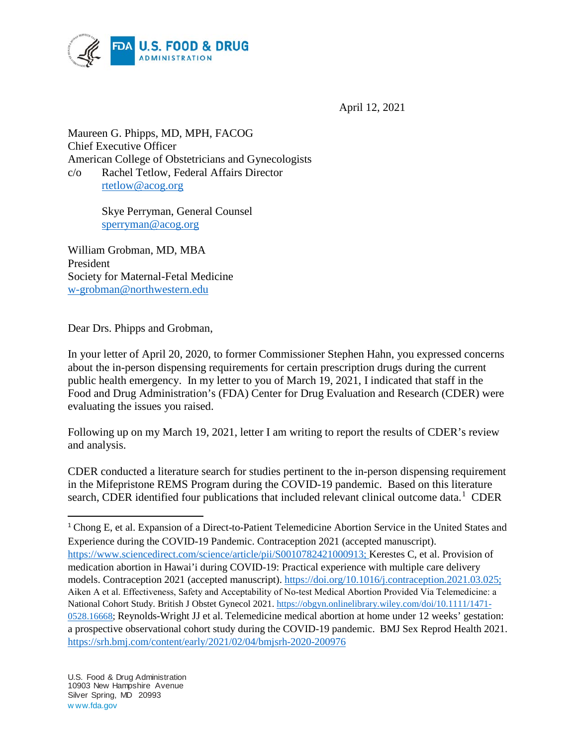

April 12, 2021

Maureen G. Phipps, MD, MPH, FACOG Chief Executive Officer American College of Obstetricians and Gynecologists c/o Rachel Tetlow, Federal Affairs Director [rtetlow@acog.org](mailto:rtetlow@acog.org)

> Skye Perryman, General Counsel [sperryman@acog.org](mailto:sperryman@acog.org)

William Grobman, MD, MBA President Society for Maternal-Fetal Medicine [w-grobman@northwestern.edu](mailto:w-grobman@northwestern.edu)

Dear Drs. Phipps and Grobman,

In your letter of April 20, 2020, to former Commissioner Stephen Hahn, you expressed concerns about the in-person dispensing requirements for certain prescription drugs during the current public health emergency. In my letter to you of March 19, 2021, I indicated that staff in the Food and Drug Administration's (FDA) Center for Drug Evaluation and Research (CDER) were evaluating the issues you raised.

Following up on my March 19, 2021, letter I am writing to report the results of CDER's review and analysis.

CDER conducted a literature search for studies pertinent to the in-person dispensing requirement in the Mifepristone REMS Program during the COVID-19 pandemic. Based on this literature search, CDER identified four publications that included relevant clinical outcome data.<sup>[1](#page-0-0)</sup> CDER

<span id="page-0-0"></span><sup>&</sup>lt;sup>1</sup> Chong E, et al. Expansion of a Direct-to-Patient Telemedicine Abortion Service in the United States and Experience during the COVID-19 Pandemic. Contraception 2021 (accepted manuscript). [https://www.sciencedirect.com/science/article/pii/S0010782421000913;](https://www.sciencedirect.com/science/article/pii/S0010782421000913) Kerestes C, et al. Provision of medication abortion in Hawai'i during COVID-19: Practical experience with multiple care delivery models. Contraception 2021 (accepted manuscript). [https://doi.org/10.1016/j.contraception.2021.03.025;](https://doi.org/10.1016/j.contraception.2021.03.025) Aiken A et al. Effectiveness, Safety and Acceptability of No‐test Medical Abortion Provided Via Telemedicine: a National Cohort Study. British J Obstet Gynecol 2021[. https://obgyn.onlinelibrary.wiley.com/doi/10.1111/1471-](https://obgyn.onlinelibrary.wiley.com/doi/10.1111/1471-0528.16668) [0528.16668;](https://obgyn.onlinelibrary.wiley.com/doi/10.1111/1471-0528.16668) Reynolds-Wright JJ et al. Telemedicine medical abortion at home under 12 weeks' gestation: a prospective observational cohort study during the COVID-19 pandemic. BMJ Sex Reprod Health 2021. <https://srh.bmj.com/content/early/2021/02/04/bmjsrh-2020-200976>